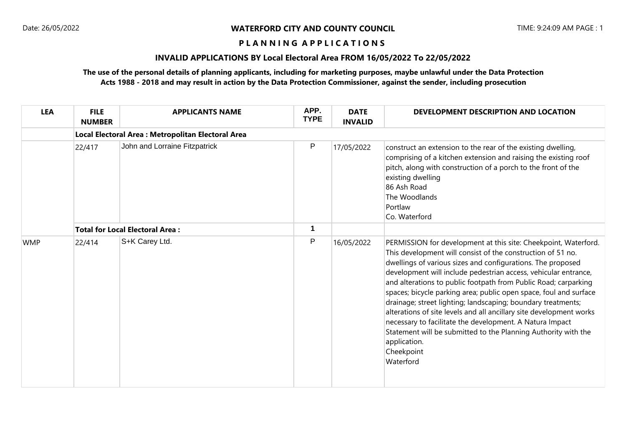#### **P L A N N I N G A P P L I C A T I O N S**

# **INVALID APPLICATIONS BY Local Electoral Area FROM 16/05/2022 To 22/05/2022**

## **The use of the personal details of planning applicants, including for marketing purposes, maybe unlawful under the Data Protection Acts 1988 - 2018 and may result in action by the Data Protection Commissioner, against the sender, including prosecution**

| <b>LEA</b> | <b>FILE</b><br><b>NUMBER</b> | <b>APPLICANTS NAME</b>                             | APP.<br><b>TYPE</b> | <b>DATE</b><br><b>INVALID</b> | DEVELOPMENT DESCRIPTION AND LOCATION                                                                                                                                                                                                                                                                                                                                                                                                                                                                                                                                                                                                                                                                                     |  |  |  |  |  |
|------------|------------------------------|----------------------------------------------------|---------------------|-------------------------------|--------------------------------------------------------------------------------------------------------------------------------------------------------------------------------------------------------------------------------------------------------------------------------------------------------------------------------------------------------------------------------------------------------------------------------------------------------------------------------------------------------------------------------------------------------------------------------------------------------------------------------------------------------------------------------------------------------------------------|--|--|--|--|--|
|            |                              | Local Electoral Area : Metropolitan Electoral Area |                     |                               |                                                                                                                                                                                                                                                                                                                                                                                                                                                                                                                                                                                                                                                                                                                          |  |  |  |  |  |
|            | 22/417                       | John and Lorraine Fitzpatrick                      | P                   | 17/05/2022                    | construct an extension to the rear of the existing dwelling,<br>comprising of a kitchen extension and raising the existing roof<br>pitch, along with construction of a porch to the front of the<br>existing dwelling<br>86 Ash Road<br>The Woodlands<br>Portlaw<br>Co. Waterford                                                                                                                                                                                                                                                                                                                                                                                                                                        |  |  |  |  |  |
|            |                              | <b>Total for Local Electoral Area:</b>             | 1                   |                               |                                                                                                                                                                                                                                                                                                                                                                                                                                                                                                                                                                                                                                                                                                                          |  |  |  |  |  |
| <b>WMP</b> | 22/414                       | S+K Carey Ltd.                                     | P                   | 16/05/2022                    | PERMISSION for development at this site: Cheekpoint, Waterford.<br>This development will consist of the construction of 51 no.<br>dwellings of various sizes and configurations. The proposed<br>development will include pedestrian access, vehicular entrance,<br>and alterations to public footpath from Public Road; carparking<br>spaces; bicycle parking area; public open space, foul and surface<br>drainage; street lighting; landscaping; boundary treatments;<br>alterations of site levels and all ancillary site development works<br>necessary to facilitate the development. A Natura Impact<br>Statement will be submitted to the Planning Authority with the<br>application.<br>Cheekpoint<br>Waterford |  |  |  |  |  |